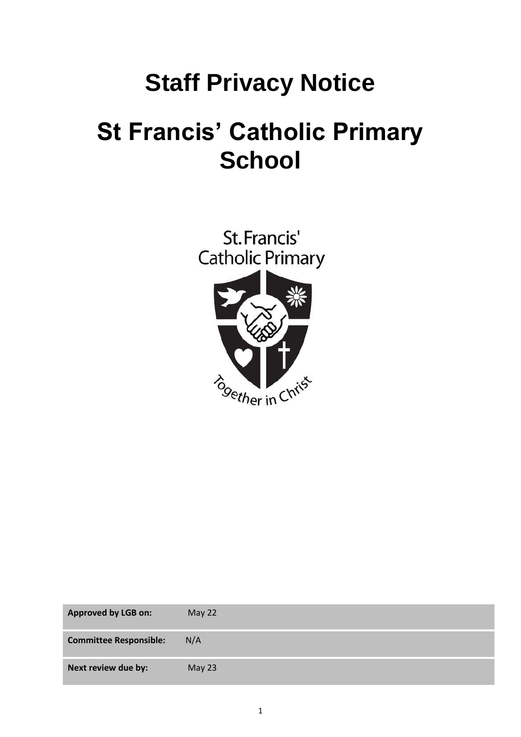# **Staff Privacy Notice**

# **St Francis' Catholic Primary School**



| <b>Approved by LGB on:</b>    | May 22 |
|-------------------------------|--------|
| <b>Committee Responsible:</b> | N/A    |
| Next review due by:           | May 23 |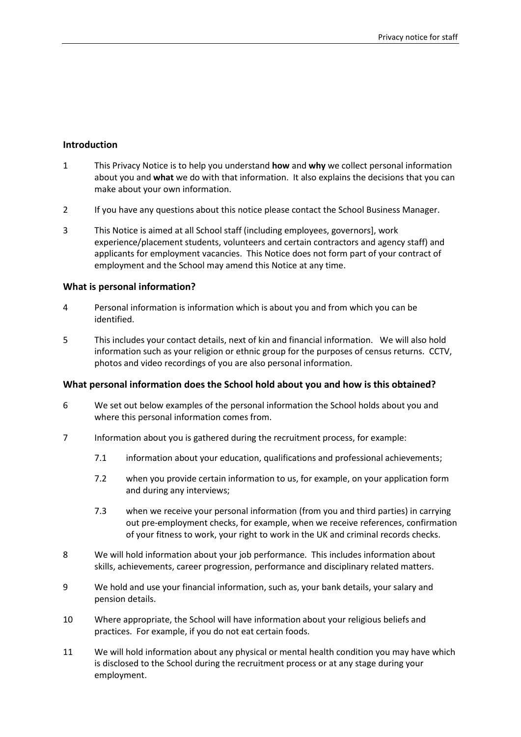# **Introduction**

- 1 This Privacy Notice is to help you understand **how** and **why** we collect personal information about you and **what** we do with that information. It also explains the decisions that you can make about your own information.
- 2 If you have any questions about this notice please contact the School Business Manager.
- 3 This Notice is aimed at all School staff (including employees, governors], work experience/placement students, volunteers and certain contractors and agency staff) and applicants for employment vacancies. This Notice does not form part of your contract of employment and the School may amend this Notice at any time.

#### **What is personal information?**

- 4 Personal information is information which is about you and from which you can be identified.
- 5 This includes your contact details, next of kin and financial information. We will also hold information such as your religion or ethnic group for the purposes of census returns. CCTV, photos and video recordings of you are also personal information.

#### **What personal information does the School hold about you and how is this obtained?**

- 6 We set out below examples of the personal information the School holds about you and where this personal information comes from.
- 7 Information about you is gathered during the recruitment process, for example:
	- 7.1 information about your education, qualifications and professional achievements;
	- 7.2 when you provide certain information to us, for example, on your application form and during any interviews;
	- 7.3 when we receive your personal information (from you and third parties) in carrying out pre-employment checks, for example, when we receive references, confirmation of your fitness to work, your right to work in the UK and criminal records checks.
- 8 We will hold information about your job performance. This includes information about skills, achievements, career progression, performance and disciplinary related matters.
- 9 We hold and use your financial information, such as, your bank details, your salary and pension details.
- 10 Where appropriate, the School will have information about your religious beliefs and practices. For example, if you do not eat certain foods.
- 11 We will hold information about any physical or mental health condition you may have which is disclosed to the School during the recruitment process or at any stage during your employment.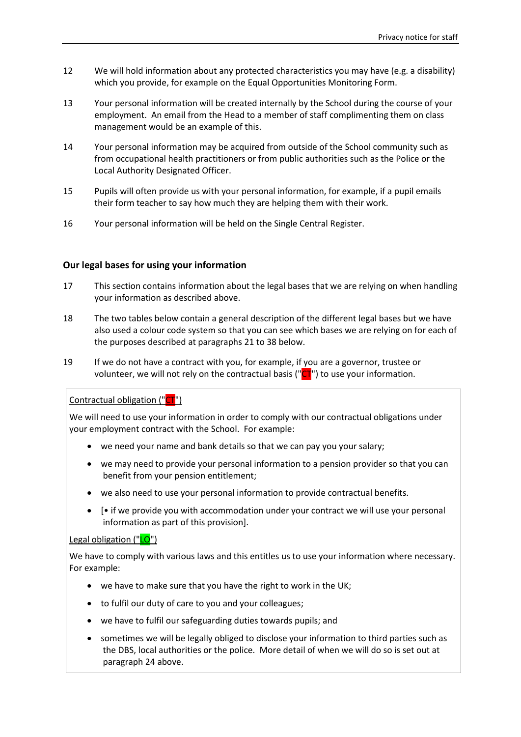- 12 We will hold information about any protected characteristics you may have (e.g. a disability) which you provide, for example on the Equal Opportunities Monitoring Form.
- 13 Your personal information will be created internally by the School during the course of your employment. An email from the Head to a member of staff complimenting them on class management would be an example of this.
- 14 Your personal information may be acquired from outside of the School community such as from occupational health practitioners or from public authorities such as the Police or the Local Authority Designated Officer.
- 15 Pupils will often provide us with your personal information, for example, if a pupil emails their form teacher to say how much they are helping them with their work.
- 16 Your personal information will be held on the Single Central Register.

# **Our legal bases for using your information**

- 17 This section contains information about the legal bases that we are relying on when handling your information as described above.
- 18 The two tables below contain a general description of the different legal bases but we have also used a colour code system so that you can see which bases we are relying on for each of the purposes described at paragraphs [21](#page-4-0) to [38](#page-7-0) below.
- 19 If we do not have a contract with you, for example, if you are a governor, trustee or volunteer, we will not rely on the contractual basis (" $CT$ ") to use your information.

Contractual obligation ("CT")

We will need to use your information in order to comply with our contractual obligations under your employment contract with the School. For example:

- we need your name and bank details so that we can pay you your salary;
- we may need to provide your personal information to a pension provider so that you can benefit from your pension entitlement;
- we also need to use your personal information to provide contractual benefits.
- [• if we provide you with accommodation under your contract we will use your personal information as part of this provision].

Legal obligation ("LO")

We have to comply with various laws and this entitles us to use your information where necessary. For example:

- we have to make sure that you have the right to work in the UK;
- to fulfil our duty of care to you and your colleagues;
- we have to fulfil our safeguarding duties towards pupils; and
- sometimes we will be legally obliged to disclose your information to third parties such as the DBS, local authorities or the police. More detail of when we will do so is set out at paragraph [24](#page-6-0) above.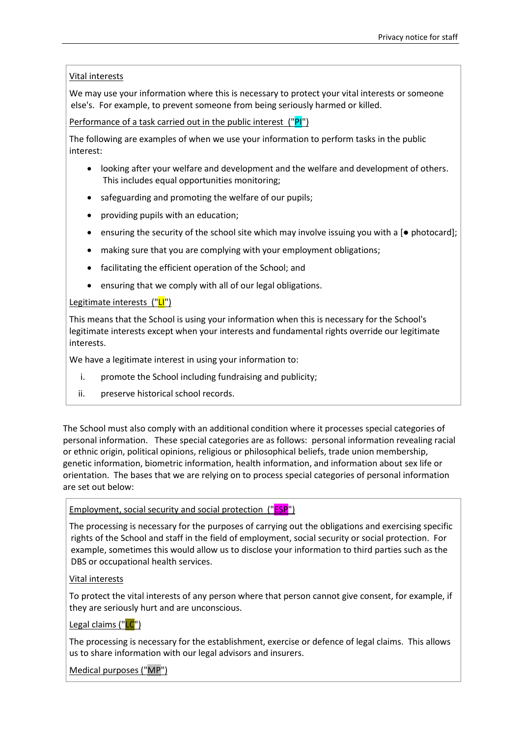#### Vital interests

We may use your information where this is necessary to protect your vital interests or someone else's. For example, to prevent someone from being seriously harmed or killed.

Performance of a task carried out in the public interest ("PI")

The following are examples of when we use your information to perform tasks in the public interest:

- looking after your welfare and development and the welfare and development of others. This includes equal opportunities monitoring;
- safeguarding and promoting the welfare of our pupils;
- providing pupils with an education;
- ensuring the security of the school site which may involve issuing you with a [● photocard];
- making sure that you are complying with your employment obligations;
- facilitating the efficient operation of the School; and
- ensuring that we comply with all of our legal obligations.

# Legitimate interests ("LI")

This means that the School is using your information when this is necessary for the School's legitimate interests except when your interests and fundamental rights override our legitimate interests.

We have a legitimate interest in using your information to:

- i. promote the School including fundraising and publicity;
- ii. preserve historical school records.

The School must also comply with an additional condition where it processes special categories of personal information. These special categories are as follows: personal information revealing racial or ethnic origin, political opinions, religious or philosophical beliefs, trade union membership, genetic information, biometric information, health information, and information about sex life or orientation. The bases that we are relying on to process special categories of personal information are set out below:

# Employment, social security and social protection ("ESP")

The processing is necessary for the purposes of carrying out the obligations and exercising specific rights of the School and staff in the field of employment, social security or social protection. For example, sometimes this would allow us to disclose your information to third parties such as the DBS or occupational health services.

# Vital interests

To protect the vital interests of any person where that person cannot give consent, for example, if they are seriously hurt and are unconscious.

# Legal claims ("LC")

The processing is necessary for the establishment, exercise or defence of legal claims. This allows us to share information with our legal advisors and insurers.

Medical purposes ("MP")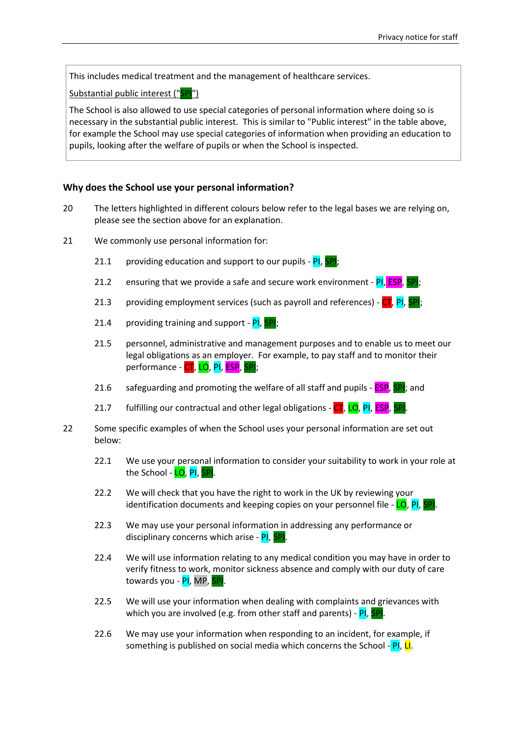This includes medical treatment and the management of healthcare services.

Substantial public interest ("SPI")

The School is also allowed to use special categories of personal information where doing so is necessary in the substantial public interest. This is similar to "Public interest" in the table above, for example the School may use special categories of information when providing an education to pupils, looking after the welfare of pupils or when the School is inspected.

#### **Why does the School use your personal information?**

- 20 The letters highlighted in different colours below refer to the legal bases we are relying on, please see the section above for an explanation.
- <span id="page-4-0"></span>21 We commonly use personal information for:
	- 21.1 providing education and support to our pupils  $-$  PI, SPI;
	- 21.2 ensuring that we provide a safe and secure work environment  $PI$ ,  $ESP$ ,  $SP$ ;
	- 21.3 providing employment services (such as payroll and references)  $CT$ , PI, SPI;
	- 21.4 providing training and support  $PI$ ,  $SPI$ ;
	- 21.5 personnel, administrative and management purposes and to enable us to meet our legal obligations as an employer. For example, to pay staff and to monitor their performance - CT, LO, PI, ESP, SPI;
	- 21.6 safeguarding and promoting the welfare of all staff and pupils  $\overline{\text{ESP}}$ ,  $\overline{\text{SPI}}$ ; and
	- 21.7 fulfilling our contractual and other legal obligations  $\overline{CI}$ , LO, PI, ESP, SPI.
- 22 Some specific examples of when the School uses your personal information are set out below:
	- 22.1 We use your personal information to consider your suitability to work in your role at the School - <mark>LO</mark>, PI, SPI.
	- 22.2 We will check that you have the right to work in the UK by reviewing your identification documents and keeping copies on your personnel file  $-\frac{\text{LO}}{\text{Pl}}$ ,
	- 22.3 We may use your personal information in addressing any performance or disciplinary concerns which arise - PI, SPI.
	- 22.4 We will use information relating to any medical condition you may have in order to verify fitness to work, monitor sickness absence and comply with our duty of care towards you - PI, MP, SPI.
	- 22.5 We will use your information when dealing with complaints and grievances with which you are involved (e.g. from other staff and parents) - PI, SPI
	- 22.6 We may use your information when responding to an incident, for example, if something is published on social media which concerns the School - PI, LI.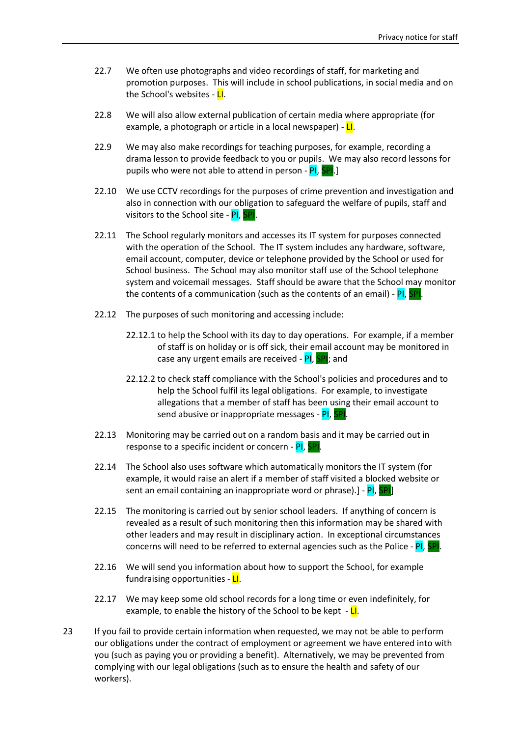- 22.7 We often use photographs and video recordings of staff, for marketing and promotion purposes. This will include in school publications, in social media and on the School's websites - LI.
- 22.8 We will also allow external publication of certain media where appropriate (for example, a photograph or article in a local newspaper) - **LI**.
- 22.9 We may also make recordings for teaching purposes, for example, recording a drama lesson to provide feedback to you or pupils. We may also record lessons for pupils who were not able to attend in person - PI, SPI.]
- 22.10 We use CCTV recordings for the purposes of crime prevention and investigation and also in connection with our obligation to safeguard the welfare of pupils, staff and visitors to the School site - PI, SPI
- 22.11 The School regularly monitors and accesses its IT system for purposes connected with the operation of the School. The IT system includes any hardware, software, email account, computer, device or telephone provided by the School or used for School business. The School may also monitor staff use of the School telephone system and voicemail messages. Staff should be aware that the School may monitor the contents of a communication (such as the contents of an email) -  $PI$ ,  $I$
- 22.12 The purposes of such monitoring and accessing include:
	- 22.12.1 to help the School with its day to day operations. For example, if a member of staff is on holiday or is off sick, their email account may be monitored in case any urgent emails are received - PI, SPI; and
	- 22.12.2 to check staff compliance with the School's policies and procedures and to help the School fulfil its legal obligations. For example, to investigate allegations that a member of staff has been using their email account to send abusive or inappropriate messages - PI, SPI.
- 22.13 Monitoring may be carried out on a random basis and it may be carried out in response to a specific incident or concern - PI, SPI.
- 22.14 The School also uses software which automatically monitors the IT system (for example, it would raise an alert if a member of staff visited a blocked website or sent an email containing an inappropriate word or phrase).] - PI, SPI
- 22.15 The monitoring is carried out by senior school leaders. If anything of concern is revealed as a result of such monitoring then this information may be shared with other leaders and may result in disciplinary action. In exceptional circumstances concerns will need to be referred to external agencies such as the Police - PI, SPI.
- 22.16 We will send you information about how to support the School, for example fundraising opportunities - LI.
- 22.17 We may keep some old school records for a long time or even indefinitely, for example, to enable the history of the School to be kept  $-I$ .
- 23 If you fail to provide certain information when requested, we may not be able to perform our obligations under the contract of employment or agreement we have entered into with you (such as paying you or providing a benefit). Alternatively, we may be prevented from complying with our legal obligations (such as to ensure the health and safety of our workers).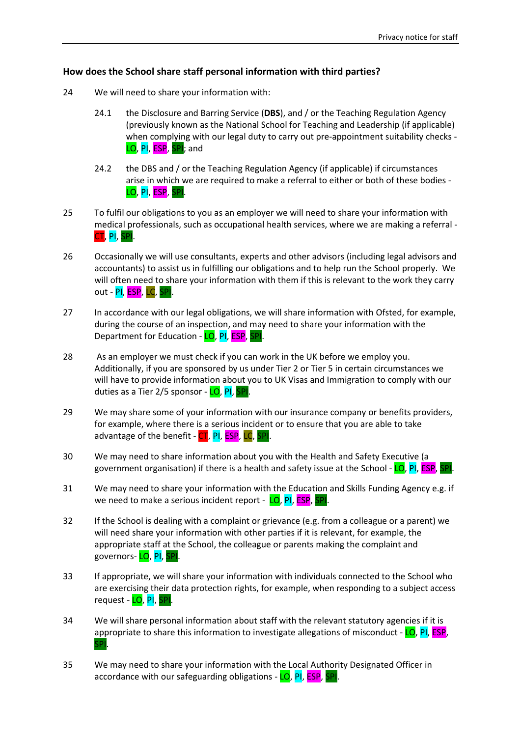# **How does the School share staff personal information with third parties?**

- <span id="page-6-0"></span>24 We will need to share your information with:
	- 24.1 the Disclosure and Barring Service (**DBS**), and / or the Teaching Regulation Agency (previously known as the National School for Teaching and Leadership (if applicable) when complying with our legal duty to carry out pre-appointment suitability checks - LO, PI, ESP, SPI; and
	- 24.2 the DBS and / or the Teaching Regulation Agency (if applicable) if circumstances arise in which we are required to make a referral to either or both of these bodies - LO, PI, ESP, SPI.
- 25 To fulfil our obligations to you as an employer we will need to share your information with medical professionals, such as occupational health services, where we are making a referral - CT, PI, SPI.
- 26 Occasionally we will use consultants, experts and other advisors (including legal advisors and accountants) to assist us in fulfilling our obligations and to help run the School properly. We will often need to share your information with them if this is relevant to the work they carry out - <mark>PI, ESP</mark>, <mark>LC</mark>, <mark>SPI</mark>.
- 27 In accordance with our legal obligations, we will share information with Ofsted, for example, during the course of an inspection, and may need to share your information with the Department for Education - LO, PI, ESP, SPI.
- 28 As an employer we must check if you can work in the UK before we employ you. Additionally, if you are sponsored by us under Tier 2 or Tier 5 in certain circumstances we will have to provide information about you to UK Visas and Immigration to comply with our duties as a Tier 2/5 sponsor - LO, PI, SPI
- 29 We may share some of your information with our insurance company or benefits providers, for example, where there is a serious incident or to ensure that you are able to take advantage of the benefit - CT, PI, ESP, LC, SPI.
- 30 We may need to share information about you with the Health and Safety Executive (a government organisation) if there is a health and safety issue at the School - LO, PI, ESP, SPI.
- 31 We may need to share your information with the Education and Skills Funding Agency e.g. if we need to make a serious incident report - LO, PI, ESP, I
- 32 If the School is dealing with a complaint or grievance (e.g. from a colleague or a parent) we will need share your information with other parties if it is relevant, for example, the appropriate staff at the School, the colleague or parents making the complaint and governors- LO, PI, SPI.
- 33 If appropriate, we will share your information with individuals connected to the School who are exercising their data protection rights, for example, when responding to a subject access request - <mark>LO, PI, SPI</mark>.
- 34 We will share personal information about staff with the relevant statutory agencies if it is appropriate to share this information to investigate allegations of misconduct -  $LO$ , PI, ESP, SPI.
- 35 We may need to share your information with the Local Authority Designated Officer in accordance with our safeguarding obligations - LO, PI, ESP, SPI.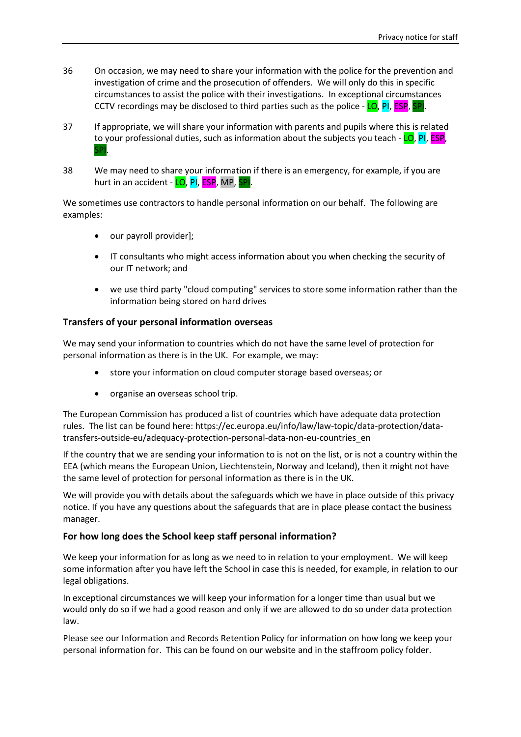- 36 On occasion, we may need to share your information with the police for the prevention and investigation of crime and the prosecution of offenders. We will only do this in specific circumstances to assist the police with their investigations. In exceptional circumstances CCTV recordings may be disclosed to third parties such as the police - LO, PI, ESP, SPI.
- 37 If appropriate, we will share your information with parents and pupils where this is related to your professional duties, such as information about the subjects you teach - LO, PI, ESP, **SP**
- <span id="page-7-0"></span>38 We may need to share your information if there is an emergency, for example, if you are hurt in an accident - LO, PI, ESP, MP, SPI.

We sometimes use contractors to handle personal information on our behalf. The following are examples:

- our payroll provider];
- IT consultants who might access information about you when checking the security of our IT network; and
- we use third party "cloud computing" services to store some information rather than the information being stored on hard drives

#### **Transfers of your personal information overseas**

We may send your information to countries which do not have the same level of protection for personal information as there is in the UK. For example, we may:

- store your information on cloud computer storage based overseas; or
- organise an overseas school trip.

The European Commission has produced a list of countries which have adequate data protection rules. The list can be found here: https://ec.europa.eu/info/law/law-topic/data-protection/datatransfers-outside-eu/adequacy-protection-personal-data-non-eu-countries\_en

If the country that we are sending your information to is not on the list, or is not a country within the EEA (which means the European Union, Liechtenstein, Norway and Iceland), then it might not have the same level of protection for personal information as there is in the UK.

We will provide you with details about the safeguards which we have in place outside of this privacy notice. If you have any questions about the safeguards that are in place please contact the business manager.

# **For how long does the School keep staff personal information?**

We keep your information for as long as we need to in relation to your employment. We will keep some information after you have left the School in case this is needed, for example, in relation to our legal obligations.

In exceptional circumstances we will keep your information for a longer time than usual but we would only do so if we had a good reason and only if we are allowed to do so under data protection law.

Please see our Information and Records Retention Policy for information on how long we keep your personal information for. This can be found on our website and in the staffroom policy folder.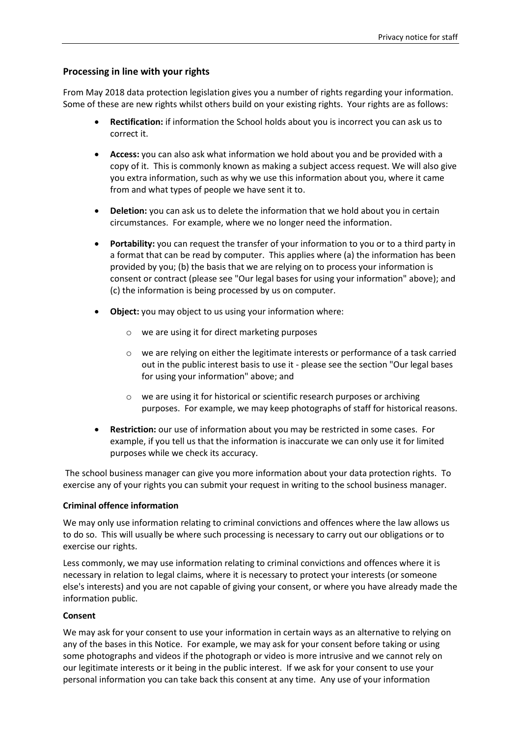# **Processing in line with your rights**

From May 2018 data protection legislation gives you a number of rights regarding your information. Some of these are new rights whilst others build on your existing rights. Your rights are as follows:

- **Rectification:** if information the School holds about you is incorrect you can ask us to correct it.
- **Access:** you can also ask what information we hold about you and be provided with a copy of it. This is commonly known as making a subject access request. We will also give you extra information, such as why we use this information about you, where it came from and what types of people we have sent it to.
- **Deletion:** you can ask us to delete the information that we hold about you in certain circumstances. For example, where we no longer need the information.
- **Portability:** you can request the transfer of your information to you or to a third party in a format that can be read by computer. This applies where (a) the information has been provided by you; (b) the basis that we are relying on to process your information is consent or contract (please see "Our legal bases for using your information" above); and (c) the information is being processed by us on computer.
- **Object:** you may object to us using your information where:
	- o we are using it for direct marketing purposes
	- o we are relying on either the legitimate interests or performance of a task carried out in the public interest basis to use it - please see the section "Our legal bases for using your information" above; and
	- o we are using it for historical or scientific research purposes or archiving purposes. For example, we may keep photographs of staff for historical reasons.
- **Restriction:** our use of information about you may be restricted in some cases. For example, if you tell us that the information is inaccurate we can only use it for limited purposes while we check its accuracy.

The school business manager can give you more information about your data protection rights. To exercise any of your rights you can submit your request in writing to the school business manager.

#### **Criminal offence information**

We may only use information relating to criminal convictions and offences where the law allows us to do so. This will usually be where such processing is necessary to carry out our obligations or to exercise our rights.

Less commonly, we may use information relating to criminal convictions and offences where it is necessary in relation to legal claims, where it is necessary to protect your interests (or someone else's interests) and you are not capable of giving your consent, or where you have already made the information public.

#### **Consent**

We may ask for your consent to use your information in certain ways as an alternative to relying on any of the bases in this Notice. For example, we may ask for your consent before taking or using some photographs and videos if the photograph or video is more intrusive and we cannot rely on our legitimate interests or it being in the public interest. If we ask for your consent to use your personal information you can take back this consent at any time. Any use of your information